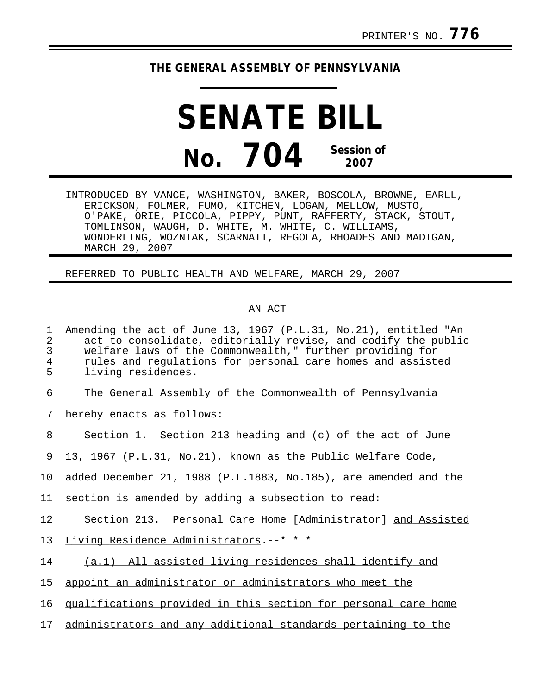## **THE GENERAL ASSEMBLY OF PENNSYLVANIA**

**SENATE BILL No. 704 Session of 2007**

INTRODUCED BY VANCE, WASHINGTON, BAKER, BOSCOLA, BROWNE, EARLL, ERICKSON, FOLMER, FUMO, KITCHEN, LOGAN, MELLOW, MUSTO, O'PAKE, ORIE, PICCOLA, PIPPY, PUNT, RAFFERTY, STACK, STOUT, TOMLINSON, WAUGH, D. WHITE, M. WHITE, C. WILLIAMS, WONDERLING, WOZNIAK, SCARNATI, REGOLA, RHOADES AND MADIGAN, MARCH 29, 2007

REFERRED TO PUBLIC HEALTH AND WELFARE, MARCH 29, 2007

## AN ACT

1 Amending the act of June 13, 1967 (P.L.31, No.21), entitled "An 2 act to consolidate, editorially revise, and codify the public<br>3 welfare laws of the Commonwealth," further providing for 3 welfare laws of the Commonwealth," further providing for 4 rules and regulations for personal care homes and assisted<br>5 living residences. living residences. 6 The General Assembly of the Commonwealth of Pennsylvania

7 hereby enacts as follows:

8 Section 1. Section 213 heading and (c) of the act of June

9 13, 1967 (P.L.31, No.21), known as the Public Welfare Code,

10 added December 21, 1988 (P.L.1883, No.185), are amended and the

11 section is amended by adding a subsection to read:

12 Section 213. Personal Care Home [Administrator] and Assisted

13 Living Residence Administrators.--\* \* \*

14 (a.1) All assisted living residences shall identify and

15 appoint an administrator or administrators who meet the

16 qualifications provided in this section for personal care home

17 administrators and any additional standards pertaining to the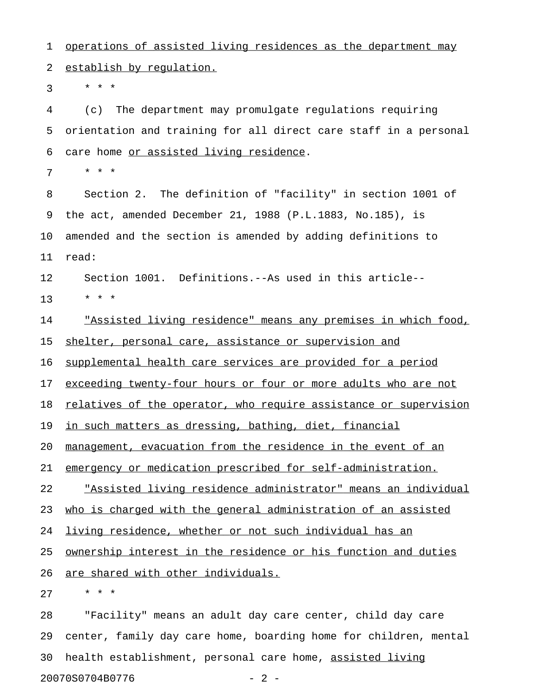1 operations of assisted living residences as the department may 2 establish by requlation.

 $3 * * * *$ 

4 (c) The department may promulgate regulations requiring 5 orientation and training for all direct care staff in a personal 6 care home or assisted living residence.

7 \* \* \*

8 Section 2. The definition of "facility" in section 1001 of 9 the act, amended December 21, 1988 (P.L.1883, No.185), is 10 amended and the section is amended by adding definitions to 11 read:

12 Section 1001. Definitions.--As used in this article-- 13 \* \* \*

14 The <u>"Assisted living residence" means any premises in which food,</u> 15 shelter, personal care, assistance or supervision and

16 supplemental health care services are provided for a period

17 exceeding twenty-four hours or four or more adults who are not

18 relatives of the operator, who require assistance or supervision

19 in such matters as dressing, bathing, diet, financial

20 management, evacuation from the residence in the event of an

21 emergency or medication prescribed for self-administration.

22 The state integral indicate in the set of  $22$  The state individual  $22$  The state individual

23 who is charged with the general administration of an assisted

24 living residence, whether or not such individual has an

25 <u>ownership interest in the residence or his function and duties</u>

26 are shared with other individuals.

27 \* \* \*

28 "Facility" means an adult day care center, child day care 29 center, family day care home, boarding home for children, mental 30 health establishment, personal care home, assisted living 20070S0704B0776 - 2 -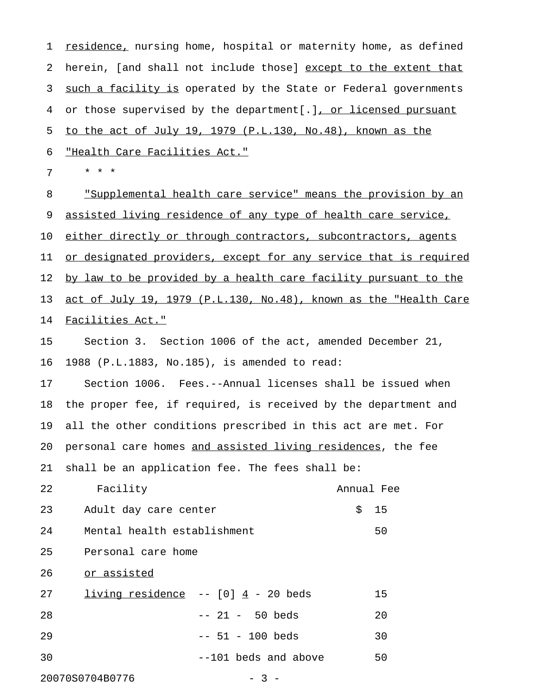1 <u>residence,</u> nursing home, hospital or maternity home, as defined 2 herein, [and shall not include those] except to the extent that 3 such a facility is operated by the State or Federal governments 4 or those supervised by the department[.], or licensed pursuant 5 to the act of July 19, 1979 (P.L.130, No.48), known as the 6 "Health Care Facilities Act." 7 \* \* \* 8 "Supplemental health care service" means the provision by an 9 assisted living residence of any type of health care service, 10 either directly or through contractors, subcontractors, agents 11 or designated providers, except for any service that is required

12 by law to be provided by a health care facility pursuant to the 13 act of July 19, 1979 (P.L.130, No.48), known as the "Health Care 14 Facilities Act."

15 Section 3. Section 1006 of the act, amended December 21, 16 1988 (P.L.1883, No.185), is amended to read:

17 Section 1006. Fees.--Annual licenses shall be issued when 18 the proper fee, if required, is received by the department and 19 all the other conditions prescribed in this act are met. For 20 personal care homes and assisted living residences, the fee 21 shall be an application fee. The fees shall be:

22 Facility Annual Fee 23 Adult day care center 5 15 24 Mental health establishment 50 25 Personal care home

26 or assisted

|                       | 15                                     |
|-----------------------|----------------------------------------|
| -- 21 - 50 beds       | 20                                     |
| $-- 51 - 100$ beds    | 30                                     |
| $-101$ beds and above | 50                                     |
|                       | living residence $- - [0]$ 4 - 20 beds |

20070S0704B0776 - 3 -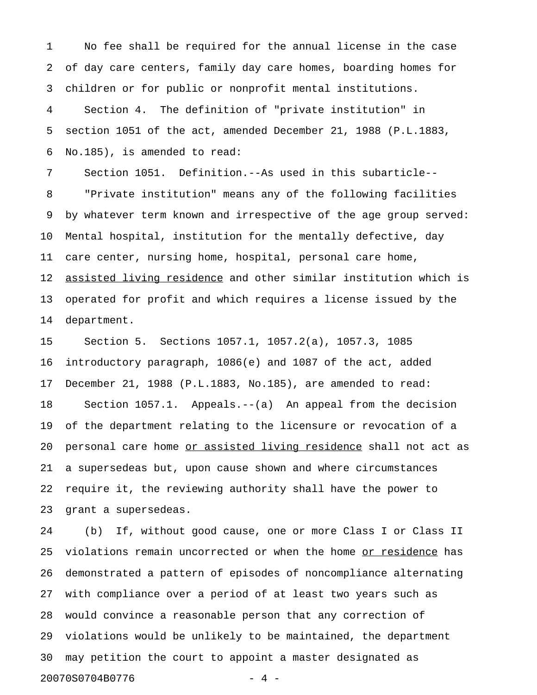1 No fee shall be required for the annual license in the case 2 of day care centers, family day care homes, boarding homes for 3 children or for public or nonprofit mental institutions.

4 Section 4. The definition of "private institution" in 5 section 1051 of the act, amended December 21, 1988 (P.L.1883, 6 No.185), is amended to read:

7 Section 1051. Definition.--As used in this subarticle-- 8 "Private institution" means any of the following facilities 9 by whatever term known and irrespective of the age group served: 10 Mental hospital, institution for the mentally defective, day 11 care center, nursing home, hospital, personal care home, 12 assisted living residence and other similar institution which is 13 operated for profit and which requires a license issued by the 14 department.

15 Section 5. Sections 1057.1, 1057.2(a), 1057.3, 1085 16 introductory paragraph, 1086(e) and 1087 of the act, added 17 December 21, 1988 (P.L.1883, No.185), are amended to read: 18 Section 1057.1. Appeals.--(a) An appeal from the decision 19 of the department relating to the licensure or revocation of a 20 personal care home or assisted living residence shall not act as 21 a supersedeas but, upon cause shown and where circumstances 22 require it, the reviewing authority shall have the power to 23 grant a supersedeas.

24 (b) If, without good cause, one or more Class I or Class II 25 violations remain uncorrected or when the home or residence has 26 demonstrated a pattern of episodes of noncompliance alternating 27 with compliance over a period of at least two years such as 28 would convince a reasonable person that any correction of 29 violations would be unlikely to be maintained, the department 30 may petition the court to appoint a master designated as 20070S0704B0776 - 4 -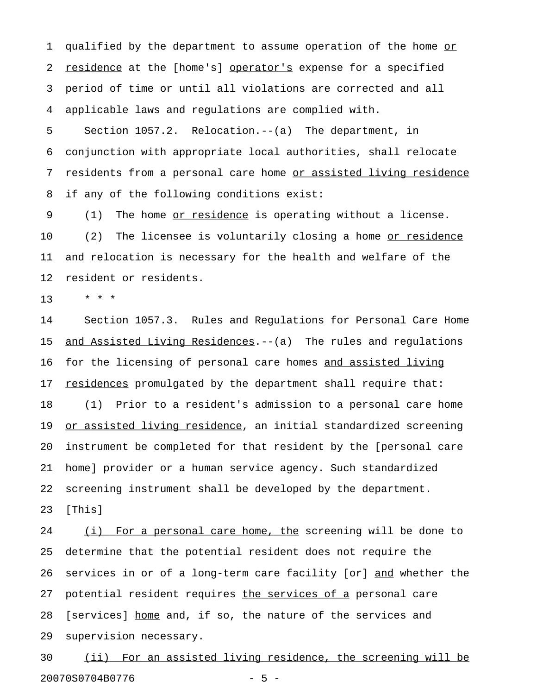1 qualified by the department to assume operation of the home or 2 residence at the [home's] operator's expense for a specified 3 period of time or until all violations are corrected and all 4 applicable laws and regulations are complied with.

5 Section 1057.2. Relocation.--(a) The department, in 6 conjunction with appropriate local authorities, shall relocate 7 residents from a personal care home or assisted living residence 8 if any of the following conditions exist:

9 (1) The home <u>or residence</u> is operating without a license. 10 (2) The licensee is voluntarily closing a home <u>or residence</u> 11 and relocation is necessary for the health and welfare of the 12 resident or residents.

13 \* \* \*

14 Section 1057.3. Rules and Regulations for Personal Care Home 15 <u>and Assisted Living Residences</u>.--(a) The rules and regulations 16 for the licensing of personal care homes and assisted living 17 residences promulgated by the department shall require that: 18 (1) Prior to a resident's admission to a personal care home 19 or assisted living residence, an initial standardized screening 20 instrument be completed for that resident by the [personal care 21 home] provider or a human service agency. Such standardized 22 screening instrument shall be developed by the department. 23 [This]

24 (i) For a personal care home, the screening will be done to 25 determine that the potential resident does not require the 26 services in or of a long-term care facility [or] and whether the 27 potential resident requires the services of a personal care 28 [services] home and, if so, the nature of the services and 29 supervision necessary.

30 (ii) For an assisted living residence, the screening will be 20070S0704B0776 - 5 -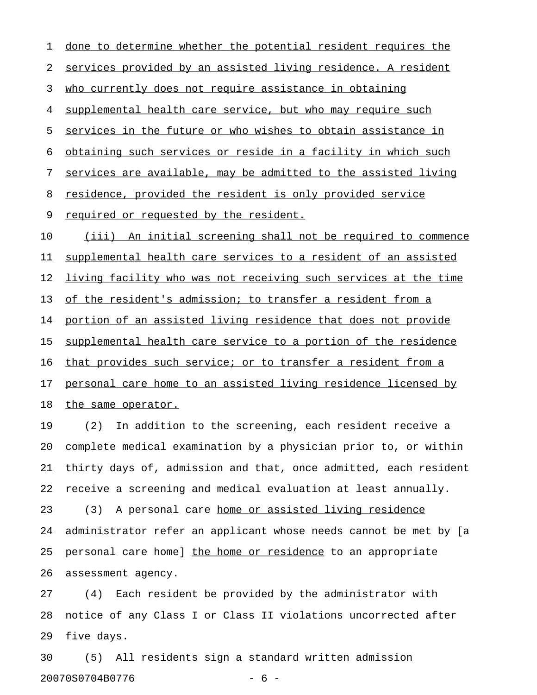1 done to determine whether the potential resident requires the 2 services provided by an assisted living residence. A resident 3 who currently does not require assistance in obtaining 4 supplemental health care service, but who may require such 5 services in the future or who wishes to obtain assistance in 6 obtaining such services or reside in a facility in which such 7 services are available, may be admitted to the assisted living 8 residence, provided the resident is only provided service 9 required or requested by the resident. 10 (iii) An initial screening shall not be required to commence 11 supplemental health care services to a resident of an assisted 12 living facility who was not receiving such services at the time 13 of the resident's admission; to transfer a resident from a 14 portion of an assisted living residence that does not provide 15 supplemental health care service to a portion of the residence 16 that provides such service; or to transfer a resident from a 17 personal care home to an assisted living residence licensed by 18 the same operator.

19 (2) In addition to the screening, each resident receive a 20 complete medical examination by a physician prior to, or within 21 thirty days of, admission and that, once admitted, each resident 22 receive a screening and medical evaluation at least annually. 23 (3) A personal care home or assisted living residence 24 administrator refer an applicant whose needs cannot be met by [a 25 personal care home] the home or residence to an appropriate 26 assessment agency.

27 (4) Each resident be provided by the administrator with 28 notice of any Class I or Class II violations uncorrected after 29 five days.

30 (5) All residents sign a standard written admission 20070S0704B0776 - 6 -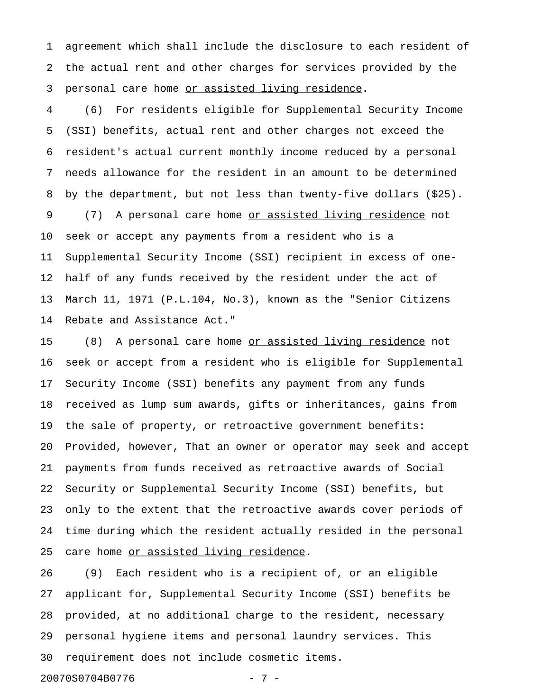1 agreement which shall include the disclosure to each resident of 2 the actual rent and other charges for services provided by the 3 personal care home or assisted living residence.

4 (6) For residents eligible for Supplemental Security Income 5 (SSI) benefits, actual rent and other charges not exceed the 6 resident's actual current monthly income reduced by a personal 7 needs allowance for the resident in an amount to be determined 8 by the department, but not less than twenty-five dollars (\$25). 9 (7) A personal care home <u>or assisted living residence</u> not 10 seek or accept any payments from a resident who is a 11 Supplemental Security Income (SSI) recipient in excess of one-12 half of any funds received by the resident under the act of 13 March 11, 1971 (P.L.104, No.3), known as the "Senior Citizens 14 Rebate and Assistance Act."

15 (8) A personal care home <u>or assisted living residence</u> not 16 seek or accept from a resident who is eligible for Supplemental 17 Security Income (SSI) benefits any payment from any funds 18 received as lump sum awards, gifts or inheritances, gains from 19 the sale of property, or retroactive government benefits: 20 Provided, however, That an owner or operator may seek and accept 21 payments from funds received as retroactive awards of Social 22 Security or Supplemental Security Income (SSI) benefits, but 23 only to the extent that the retroactive awards cover periods of 24 time during which the resident actually resided in the personal 25 care home or assisted living residence.

26 (9) Each resident who is a recipient of, or an eligible 27 applicant for, Supplemental Security Income (SSI) benefits be 28 provided, at no additional charge to the resident, necessary 29 personal hygiene items and personal laundry services. This 30 requirement does not include cosmetic items.

20070S0704B0776 - 7 -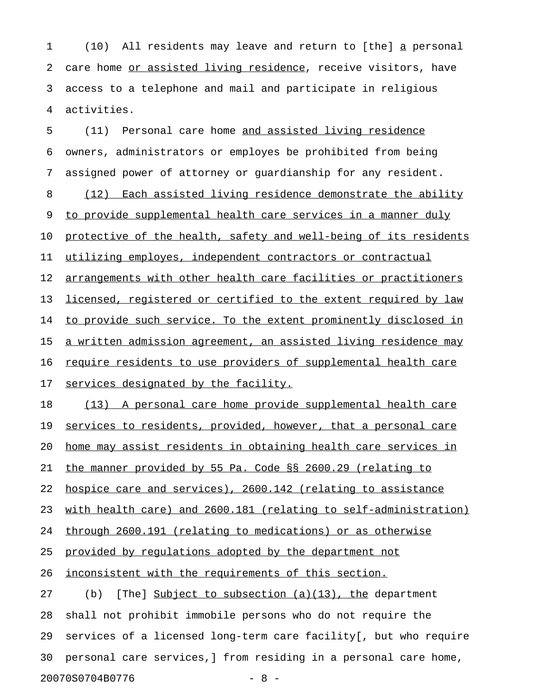1 (10) All residents may leave and return to [the] a personal 2 care home or assisted living residence, receive visitors, have 3 access to a telephone and mail and participate in religious 4 activities.

5 (11) Personal care home and assisted living residence 6 owners, administrators or employes be prohibited from being 7 assigned power of attorney or guardianship for any resident. 8 (12) Each assisted living residence demonstrate the ability 9 to provide supplemental health care services in a manner duly 10 protective of the health, safety and well-being of its residents 11 utilizing employes, independent contractors or contractual 12 arrangements with other health care facilities or practitioners 13 licensed, registered or certified to the extent required by law 14 to provide such service. To the extent prominently disclosed in 15 a written admission agreement, an assisted living residence may 16 require residents to use providers of supplemental health care 17 services designated by the facility. 18 (13) A personal care home provide supplemental health care 19 services to residents, provided, however, that a personal care 20 home may assist residents in obtaining health care services in 21 the manner provided by 55 Pa. Code §§ 2600.29 (relating to 22 hospice care and services), 2600.142 (relating to assistance 23 with health care) and 2600.181 (relating to self-administration) 24 through 2600.191 (relating to medications) or as otherwise 25 provided by requlations adopted by the department not 26 <u>inconsistent with the requirements of this section.</u> 27 (b) [The] Subject to subsection  $(a)(13)$ , the department 28 shall not prohibit immobile persons who do not require the 29 services of a licensed long-term care facility[, but who require 30 personal care services,] from residing in a personal care home,

20070S0704B0776 - 8 -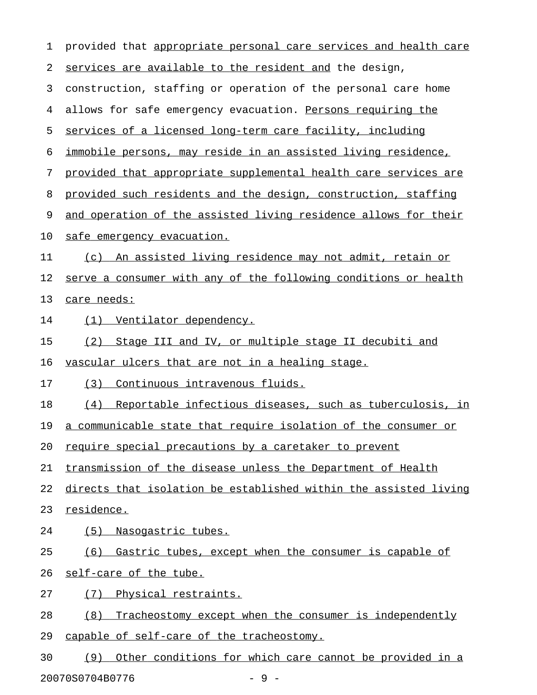1 provided that appropriate personal care services and health care 2 services are available to the resident and the design, 3 construction, staffing or operation of the personal care home 4 allows for safe emergency evacuation. Persons requiring the 5 services of a licensed long-term care facility, including 6 immobile persons, may reside in an assisted living residence, 7 provided that appropriate supplemental health care services are 8 provided such residents and the design, construction, staffing 9 and operation of the assisted living residence allows for their 10 safe emergency evacuation. 11 (c) An assisted living residence may not admit, retain or 12 serve a consumer with any of the following conditions or health 13 care needs: 14 (1) Ventilator dependency. 15 (2) Stage III and IV, or multiple stage II decubiti and 16 vascular ulcers that are not in a healing stage. 17 (3) Continuous intravenous fluids. 18 (4) Reportable infectious diseases, such as tuberculosis, in 19 a communicable state that require isolation of the consumer or 20 require special precautions by a caretaker to prevent 21 transmission of the disease unless the Department of Health 22 directs that isolation be established within the assisted living 23 residence. 24 (5) Nasogastric tubes. 25 (6) Gastric tubes, except when the consumer is capable of 26 self-care of the tube. 27 (7) Physical restraints. 28 (8) Tracheostomy except when the consumer is independently 29 capable of self-care of the tracheostomy. 30 (9) Other conditions for which care cannot be provided in a

20070S0704B0776 - 9 -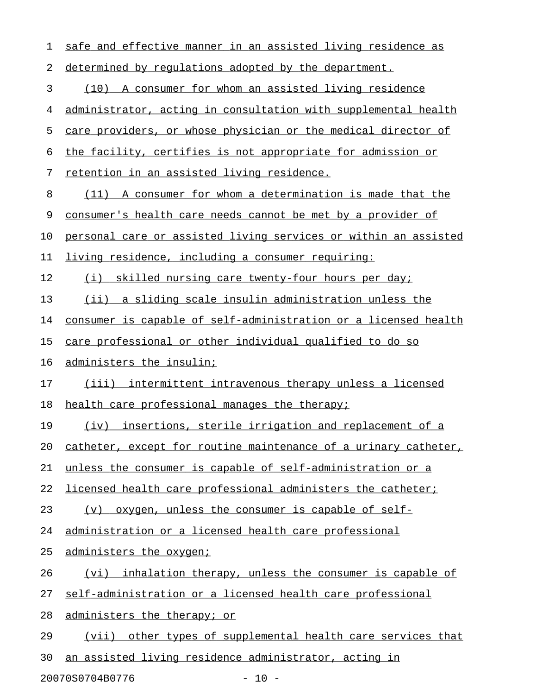| 1  | safe and effective manner in an assisted living residence as    |
|----|-----------------------------------------------------------------|
| 2  | determined by regulations adopted by the department.            |
| 3  | (10) A consumer for whom an assisted living residence           |
| 4  | administrator, acting in consultation with supplemental health  |
| 5  | care providers, or whose physician or the medical director of   |
| 6  | the facility, certifies is not appropriate for admission or     |
| 7  | retention in an assisted living residence.                      |
| 8  | (11) A consumer for whom a determination is made that the       |
| 9  | consumer's health care needs cannot be met by a provider of     |
| 10 | personal care or assisted living services or within an assisted |
| 11 | living residence, including a consumer requiring:               |
| 12 | (i) skilled nursing care twenty-four hours per day;             |
| 13 | (ii) a sliding scale insulin administration unless the          |
| 14 | consumer is capable of self-administration or a licensed health |
| 15 | care professional or other individual qualified to do so        |
| 16 | administers the insulin;                                        |
| 17 | (iii) intermittent intravenous therapy unless a licensed        |
| 18 | health care professional manages the therapy;                   |
| 19 | insertions, sterile irrigation and replacement of a<br>(iv)     |
| 20 | catheter, except for routine maintenance of a urinary catheter, |
| 21 | unless the consumer is capable of self-administration or a      |
| 22 | licensed health care professional administers the catheter;     |
| 23 | oxygen, unless the consumer is capable of self-<br>(v)          |
| 24 | administration or a licensed health care professional           |
| 25 | administers the oxygen;                                         |
| 26 | (vi) inhalation therapy, unless the consumer is capable of      |
| 27 | self-administration or a licensed health care professional      |
| 28 | administers the therapy; or                                     |
| 29 | (vii) other types of supplemental health care services that     |
| 30 | an assisted living residence administrator, acting in           |

20070S0704B0776 - 10 -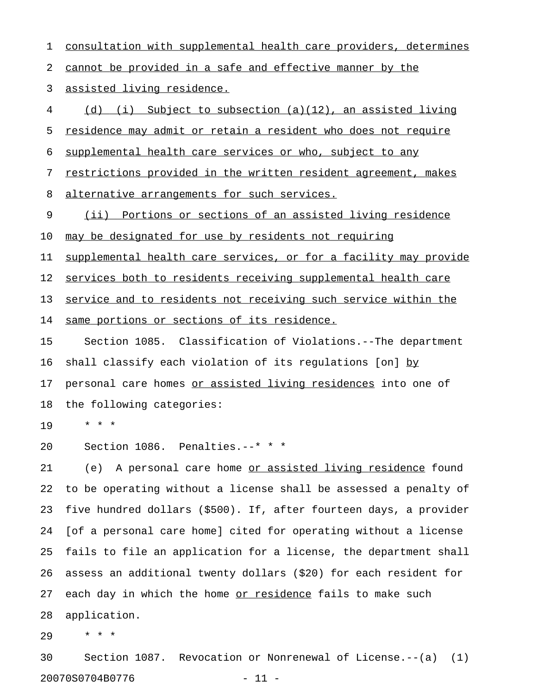1 consultation with supplemental health care providers, determines 2 cannot be provided in a safe and effective manner by the 3 assisted living residence. 4 (d) (i) Subject to subsection (a)(12), an assisted living 5 residence may admit or retain a resident who does not require 6 supplemental health care services or who, subject to any 7 restrictions provided in the written resident agreement, makes 8 alternative arrangements for such services. 9 (ii) Portions or sections of an assisted living residence 10 may be designated for use by residents not requiring 11 supplemental health care services, or for a facility may provide 12 services both to residents receiving supplemental health care 13 service and to residents not receiving such service within the 14 same portions or sections of its residence. 15 Section 1085. Classification of Violations.--The department 16 shall classify each violation of its regulations [on] by\_\_ 17 personal care homes or assisted living residences into one of 18 the following categories: 19 \* \* \* 20 Section 1086. Penalties.--\* \* \* 21 (e) A personal care home <u>or assisted living residence</u> found 22 to be operating without a license shall be assessed a penalty of 23 five hundred dollars (\$500). If, after fourteen days, a provider 24 [of a personal care home] cited for operating without a license 25 fails to file an application for a license, the department shall 26 assess an additional twenty dollars (\$20) for each resident for 27 each day in which the home or residence fails to make such 28 application.

29 \* \* \*

30 Section 1087. Revocation or Nonrenewal of License.--(a) (1) 20070S0704B0776 - 11 -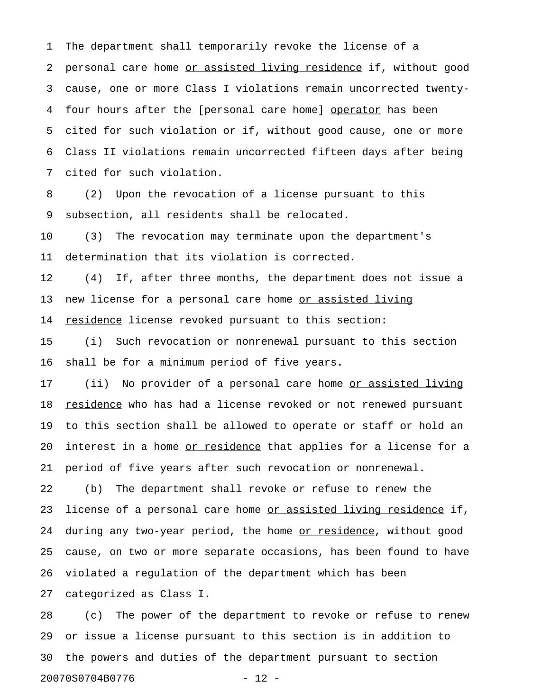1 The department shall temporarily revoke the license of a 2 personal care home or assisted living residence if, without good 3 cause, one or more Class I violations remain uncorrected twenty-4 four hours after the [personal care home] operator has been 5 cited for such violation or if, without good cause, one or more 6 Class II violations remain uncorrected fifteen days after being 7 cited for such violation.

8 (2) Upon the revocation of a license pursuant to this 9 subsection, all residents shall be relocated.

10 (3) The revocation may terminate upon the department's 11 determination that its violation is corrected.

12 (4) If, after three months, the department does not issue a 13 new license for a personal care home or assisted living 14 residence license revoked pursuant to this section:

15 (i) Such revocation or nonrenewal pursuant to this section 16 shall be for a minimum period of five years.

17 (ii) No provider of a personal care home <u>or assisted living</u> 18 residence who has had a license revoked or not renewed pursuant 19 to this section shall be allowed to operate or staff or hold an 20 interest in a home <u>or residence</u> that applies for a license for a 21 period of five years after such revocation or nonrenewal.

22 (b) The department shall revoke or refuse to renew the 23 license of a personal care home <u>or assisted living residence</u> if, 24 during any two-year period, the home or residence, without good 25 cause, on two or more separate occasions, has been found to have 26 violated a regulation of the department which has been

27 categorized as Class I.

28 (c) The power of the department to revoke or refuse to renew 29 or issue a license pursuant to this section is in addition to 30 the powers and duties of the department pursuant to section 20070S0704B0776 - 12 -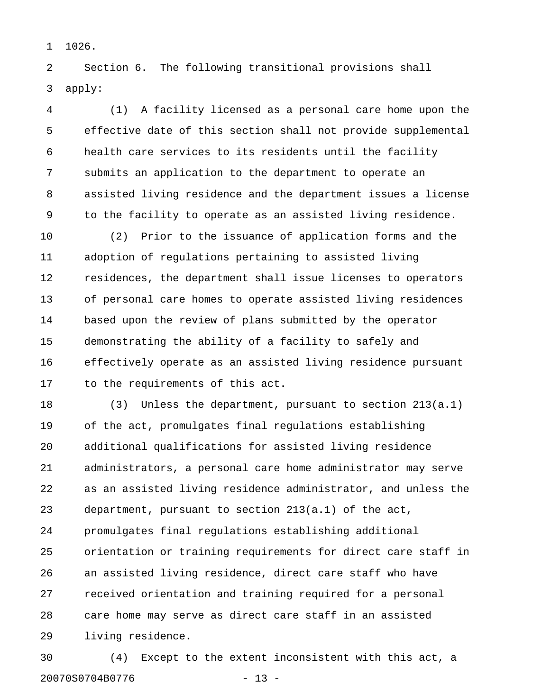1 1026.

2 Section 6. The following transitional provisions shall 3 apply:

4 (1) A facility licensed as a personal care home upon the 5 effective date of this section shall not provide supplemental 6 health care services to its residents until the facility 7 submits an application to the department to operate an 8 assisted living residence and the department issues a license 9 to the facility to operate as an assisted living residence.

10 (2) Prior to the issuance of application forms and the 11 adoption of regulations pertaining to assisted living 12 residences, the department shall issue licenses to operators 13 of personal care homes to operate assisted living residences 14 based upon the review of plans submitted by the operator 15 demonstrating the ability of a facility to safely and 16 effectively operate as an assisted living residence pursuant 17 to the requirements of this act.

18 (3) Unless the department, pursuant to section 213(a.1) 19 of the act, promulgates final regulations establishing 20 additional qualifications for assisted living residence 21 administrators, a personal care home administrator may serve 22 as an assisted living residence administrator, and unless the 23 department, pursuant to section 213(a.1) of the act, 24 promulgates final regulations establishing additional 25 orientation or training requirements for direct care staff in 26 an assisted living residence, direct care staff who have 27 received orientation and training required for a personal 28 care home may serve as direct care staff in an assisted 29 living residence.

30 (4) Except to the extent inconsistent with this act, a 20070S0704B0776 - 13 -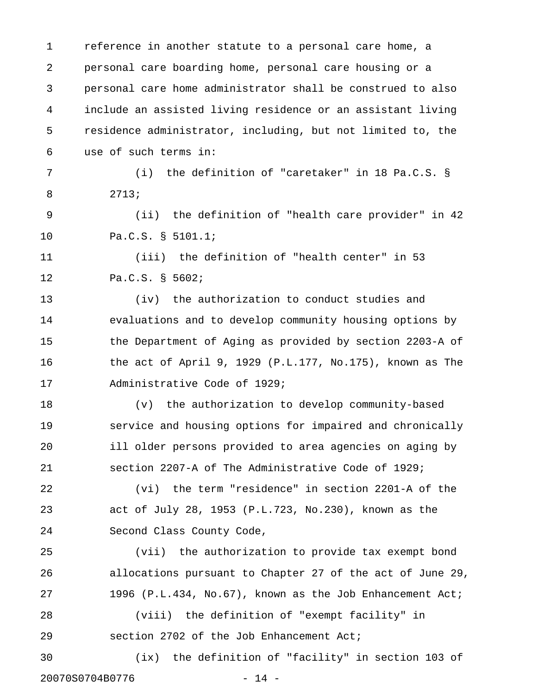1 reference in another statute to a personal care home, a 2 personal care boarding home, personal care housing or a 3 personal care home administrator shall be construed to also 4 include an assisted living residence or an assistant living 5 residence administrator, including, but not limited to, the 6 use of such terms in: 7 (i) the definition of "caretaker" in 18 Pa.C.S. § 8 2713; 9 (ii) the definition of "health care provider" in 42 10 Pa.C.S. § 5101.1; 11 (iii) the definition of "health center" in 53 12 Pa.C.S. § 5602; 13 (iv) the authorization to conduct studies and 14 evaluations and to develop community housing options by 15 the Department of Aging as provided by section 2203-A of 16 the act of April 9, 1929 (P.L.177, No.175), known as The 17 Administrative Code of 1929; 18 (v) the authorization to develop community-based 19 service and housing options for impaired and chronically 20 ill older persons provided to area agencies on aging by 21 section 2207-A of The Administrative Code of 1929; 22 (vi) the term "residence" in section 2201-A of the 23 act of July 28, 1953 (P.L.723, No.230), known as the 24 Second Class County Code, 25 (vii) the authorization to provide tax exempt bond 26 allocations pursuant to Chapter 27 of the act of June 29, 27 1996 (P.L.434, No.67), known as the Job Enhancement Act; 28 (viii) the definition of "exempt facility" in 29 section 2702 of the Job Enhancement Act; 30 (ix) the definition of "facility" in section 103 of 20070S0704B0776 - 14 -